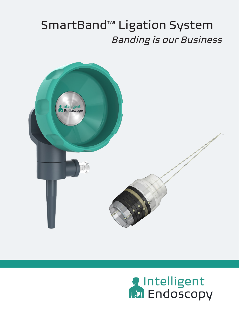## SmartBand™ Ligation System Banding is our Business